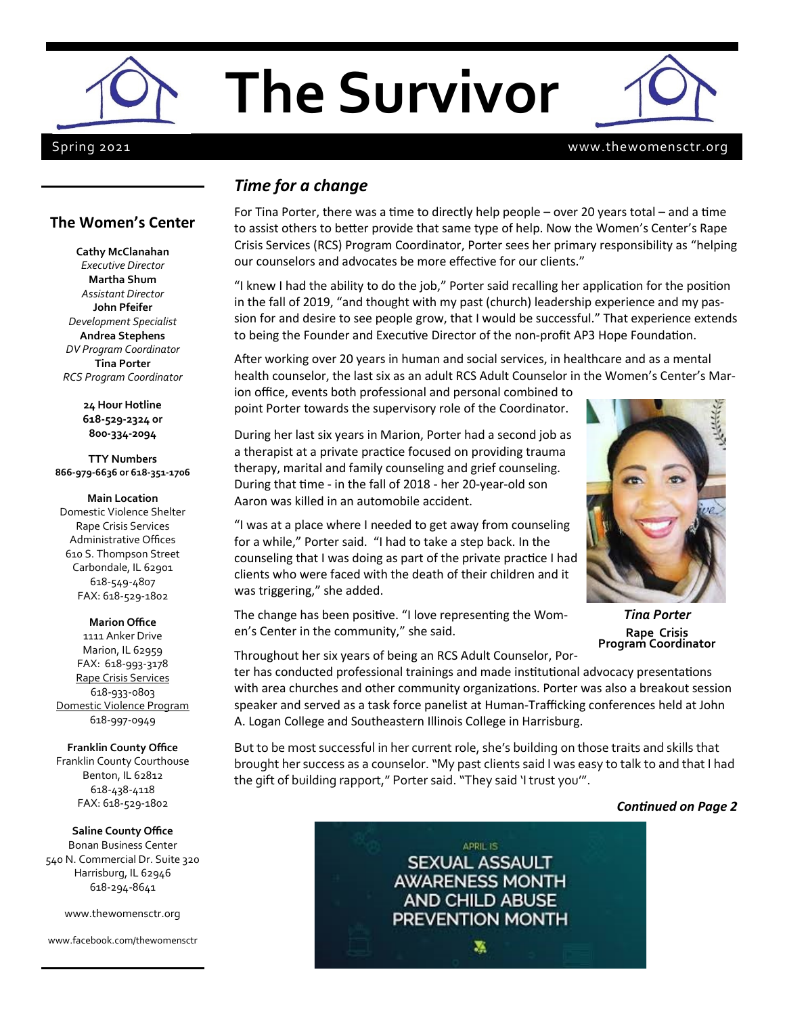

# **The Survivor**



#### Spring 2021 www.thewomensctr.org

### *Time for a change*

For Tina Porter, there was a time to directly help people – over 20 years total – and a time to assist others to better provide that same type of help. Now the Women's Center's Rape Crisis Services (RCS) Program Coordinator, Porter sees her primary responsibility as "helping our counselors and advocates be more effective for our clients."

"I knew I had the ability to do the job," Porter said recalling her application for the position in the fall of 2019, "and thought with my past (church) leadership experience and my passion for and desire to see people grow, that I would be successful." That experience extends to being the Founder and Executive Director of the non-profit AP3 Hope Foundation.

After working over 20 years in human and social services, in healthcare and as a mental health counselor, the last six as an adult RCS Adult Counselor in the Women's Center's Mar-

ion office, events both professional and personal combined to point Porter towards the supervisory role of the Coordinator.

During her last six years in Marion, Porter had a second job as a therapist at a private practice focused on providing trauma therapy, marital and family counseling and grief counseling. During that time - in the fall of 2018 - her 20-year-old son Aaron was killed in an automobile accident.

"I was at a place where I needed to get away from counseling for a while," Porter said. "I had to take a step back. In the counseling that I was doing as part of the private practice I had clients who were faced with the death of their children and it was triggering," she added.

The change has been positive. "I love representing the Women's Center in the community," she said.



*Tina Porter* **Rape Crisis Program Coordinator**

Throughout her six years of being an RCS Adult Counselor, Por-

ter has conducted professional trainings and made institutional advocacy presentations with area churches and other community organizations. Porter was also a breakout session speaker and served as a task force panelist at Human-Trafficking conferences held at John A. Logan College and Southeastern Illinois College in Harrisburg.

But to be most successful in her current role, she's building on those traits and skills that brought her success as a counselor. "My past clients said I was easy to talk to and that I had the gift of building rapport," Porter said. "They said 'I trust you'".

```
Continued on Page 2
```
**APRIL IS SEXUAL ASSAULT AWARENESS MONTH AND CHILD ABUSE** PREVENTION MONTH 灩

#### **The Women's Center**

**Cathy McClanahan** *Executive Director* **Martha Shum** *Assistant Director* **John Pfeifer** *Development Specialist* **Andrea Stephens** *DV Program Coordinator* **Tina Porter** *RCS Program Coordinator*

> **24 Hour Hotline 618-529-2324 or 800-334-2094**

**TTY Numbers 866-979-6636 or 618-351-1706**

**Main Location** Domestic Violence Shelter Rape Crisis Services Administrative Offices 610 S. Thompson Street Carbondale, IL 62901 618-549-4807 FAX: 618-529-1802

**Marion Office** 1111 Anker Drive Marion, IL 62959 FAX: 618-993-3178 Rape Crisis Services 618-933-0803 Domestic Violence Program 618-997-0949

**Franklin County Office**

Franklin County Courthouse Benton, IL 62812 618-438-4118 FAX: 618-529-1802

#### **Saline County Office**

Bonan Business Center 540 N. Commercial Dr. Suite 320 Harrisburg, IL 62946 618-294-8641

www.thewomensctr.org

www.facebook.com/thewomensctr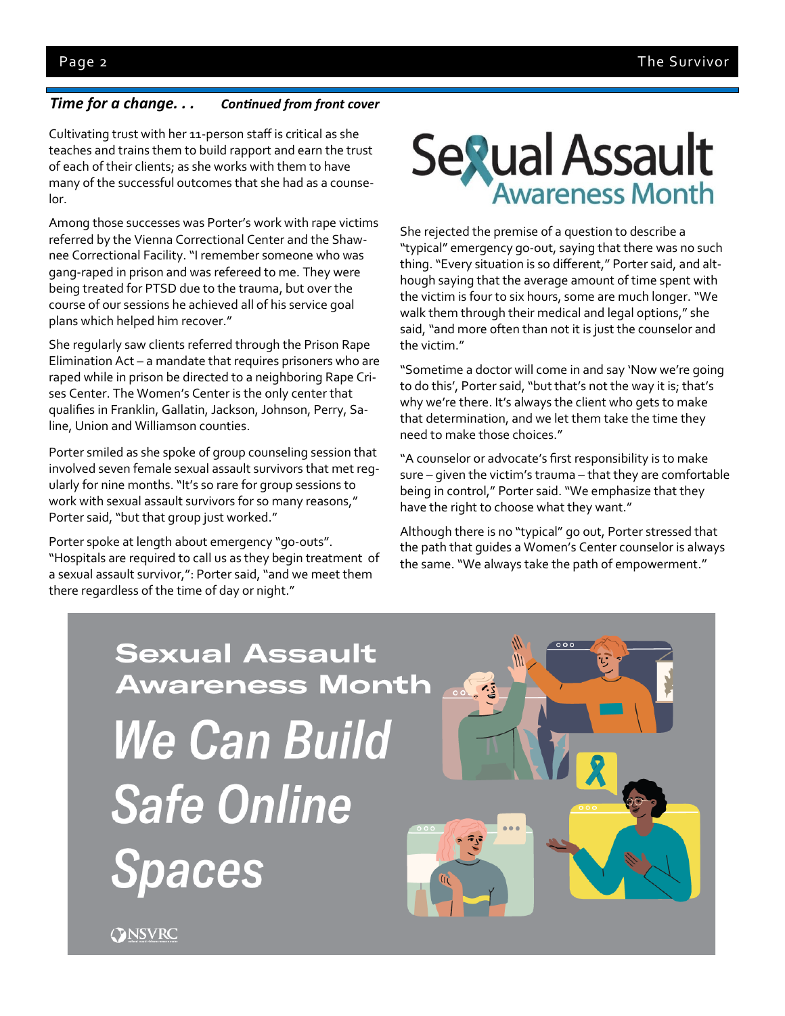#### *Time for a change. . . Continued from front cover*

Cultivating trust with her 11-person staff is critical as she teaches and trains them to build rapport and earn the trust of each of their clients; as she works with them to have many of the successful outcomes that she had as a counselor.

Among those successes was Porter's work with rape victims referred by the Vienna Correctional Center and the Shawnee Correctional Facility. "I remember someone who was gang-raped in prison and was refereed to me. They were being treated for PTSD due to the trauma, but over the course of our sessions he achieved all of his service goal plans which helped him recover."

She regularly saw clients referred through the Prison Rape Elimination Act – a mandate that requires prisoners who are raped while in prison be directed to a neighboring Rape Crises Center. The Women's Center is the only center that qualifies in Franklin, Gallatin, Jackson, Johnson, Perry, Saline, Union and Williamson counties.

Porter smiled as she spoke of group counseling session that involved seven female sexual assault survivors that met regularly for nine months. "It's so rare for group sessions to work with sexual assault survivors for so many reasons," Porter said, "but that group just worked."

Porter spoke at length about emergency "go-outs". "Hospitals are required to call us as they begin treatment of a sexual assault survivor,": Porter said, "and we meet them there regardless of the time of day or night."

**CONSVRC** 

# **Sexual Assault Awareness Month**

She rejected the premise of a question to describe a "typical" emergency go-out, saying that there was no such thing. "Every situation is so different," Porter said, and although saying that the average amount of time spent with the victim is four to six hours, some are much longer. "We walk them through their medical and legal options," she said, "and more often than not it is just the counselor and the victim."

"Sometime a doctor will come in and say 'Now we're going to do this', Porter said, "but that's not the way it is; that's why we're there. It's always the client who gets to make that determination, and we let them take the time they need to make those choices."

"A counselor or advocate's first responsibility is to make sure – given the victim's trauma – that they are comfortable being in control," Porter said. "We emphasize that they have the right to choose what they want."

Although there is no "typical" go out, Porter stressed that the path that guides a Women's Center counselor is always the same. "We always take the path of empowerment."

**Sexual Assault Awareness Month We Can Build Safe Online** paces

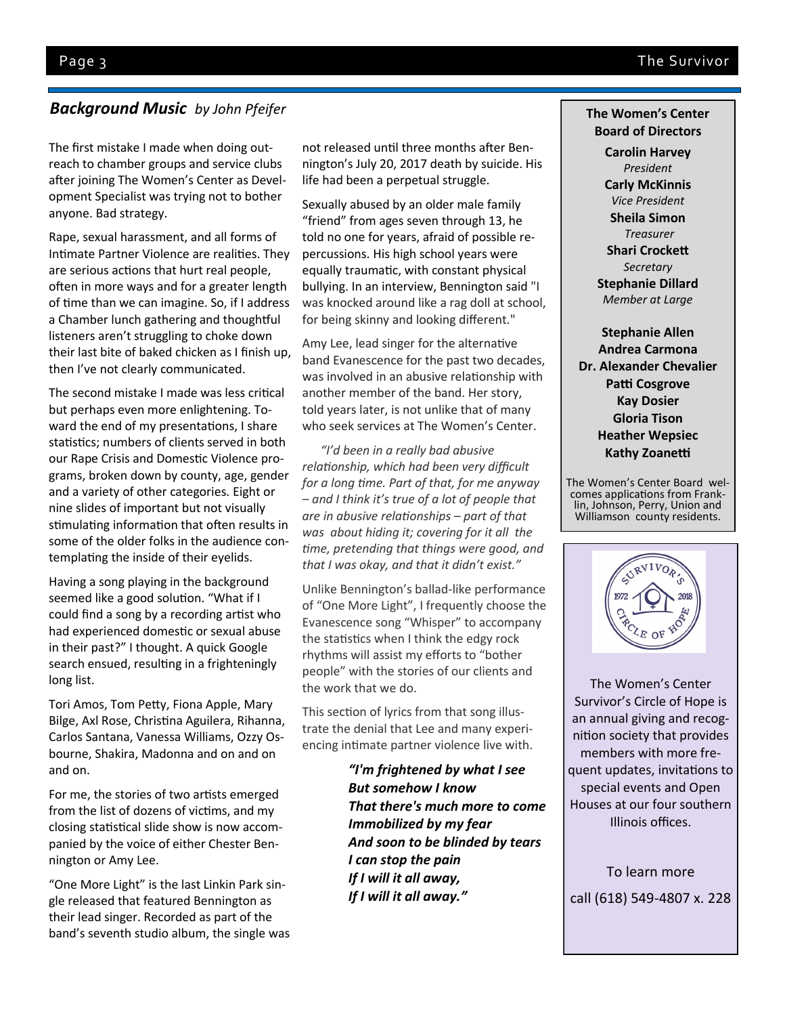#### **Background Music** by John Pfeifer **The Women's Center <b>The Women's Center**

The first mistake I made when doing outreach to chamber groups and service clubs after joining The Women's Center as Development Specialist was trying not to bother anyone. Bad strategy.

Rape, sexual harassment, and all forms of Intimate Partner Violence are realities. They are serious actions that hurt real people, often in more ways and for a greater length of time than we can imagine. So, if I address a Chamber lunch gathering and thoughtful listeners aren't struggling to choke down their last bite of baked chicken as I finish up, then I've not clearly communicated.

The second mistake I made was less critical but perhaps even more enlightening. Toward the end of my presentations, I share statistics; numbers of clients served in both our Rape Crisis and Domestic Violence programs, broken down by county, age, gender and a variety of other categories. Eight or nine slides of important but not visually stimulating information that often results in some of the older folks in the audience contemplating the inside of their eyelids.

Having a song playing in the background seemed like a good solution. "What if I could find a song by a recording artist who had experienced domestic or sexual abuse in their past?" I thought. A quick Google search ensued, resulting in a frighteningly long list.

Tori Amos, Tom Petty, Fiona Apple, Mary Bilge, Axl Rose, Christina Aguilera, Rihanna, Carlos Santana, Vanessa Williams, Ozzy Osbourne, Shakira, Madonna and on and on and on.

For me, the stories of two artists emerged from the list of dozens of victims, and my closing statistical slide show is now accompanied by the voice of either Chester Bennington or Amy Lee.

"One More Light" is the last Linkin Park single released that featured Bennington as their lead singer. Recorded as part of the band's seventh studio album, the single was

not released until three months after Bennington's July 20, 2017 death by suicide. His life had been a perpetual struggle.

Sexually abused by an older male family "friend" from ages seven through 13, he told no one for years, afraid of possible repercussions. His high school years were equally traumatic, with constant physical bullying. In an interview, Bennington said "I was knocked around like a rag doll at school, for being skinny and looking different."

Amy Lee, lead singer for the alternative band Evanescence for the past two decades, was involved in an abusive relationship with another member of the band. Her story, told years later, is not unlike that of many who seek services at The Women's Center.

 *"I'd been in a really bad abusive relationship, which had been very difficult for a long time. Part of that, for me anyway – and I think it's true of a lot of people that are in abusive relationships – part of that was about hiding it; covering for it all the time, pretending that things were good, and that I was okay, and that it didn't exist."*

Unlike Bennington's ballad-like performance of "One More Light", I frequently choose the Evanescence song "Whisper" to accompany the statistics when I think the edgy rock rhythms will assist my efforts to "bother people" with the stories of our clients and the work that we do.

This section of lyrics from that song illustrate the denial that Lee and many experiencing intimate partner violence live with.

> *"I'm frightened by what I see But somehow I know That there's much more to come Immobilized by my fear And soon to be blinded by tears I can stop the pain If I will it all away, If I will it all away."*

## **Board of Directors**

**Carolin Harvey** *President* **Carly McKinnis** *Vice President*  **Sheila Simon** *Treasurer* **Shari Crockett** *Secretary* **Stephanie Dillard** *Member at Large*

**Stephanie Allen Andrea Carmona Dr. Alexander Chevalier Patti Cosgrove Kay Dosier Gloria Tison Heather Wepsiec Kathy Zoanetti**

The Women's Center Board welcomes applications from Franklin, Johnson, Perry, Union and Williamson county residents.



The Women's Center Survivor's Circle of Hope is an annual giving and recognition society that provides members with more frequent updates, invitations to special events and Open Houses at our four southern Illinois offices.

To learn more call (618) 549-4807 x. 228